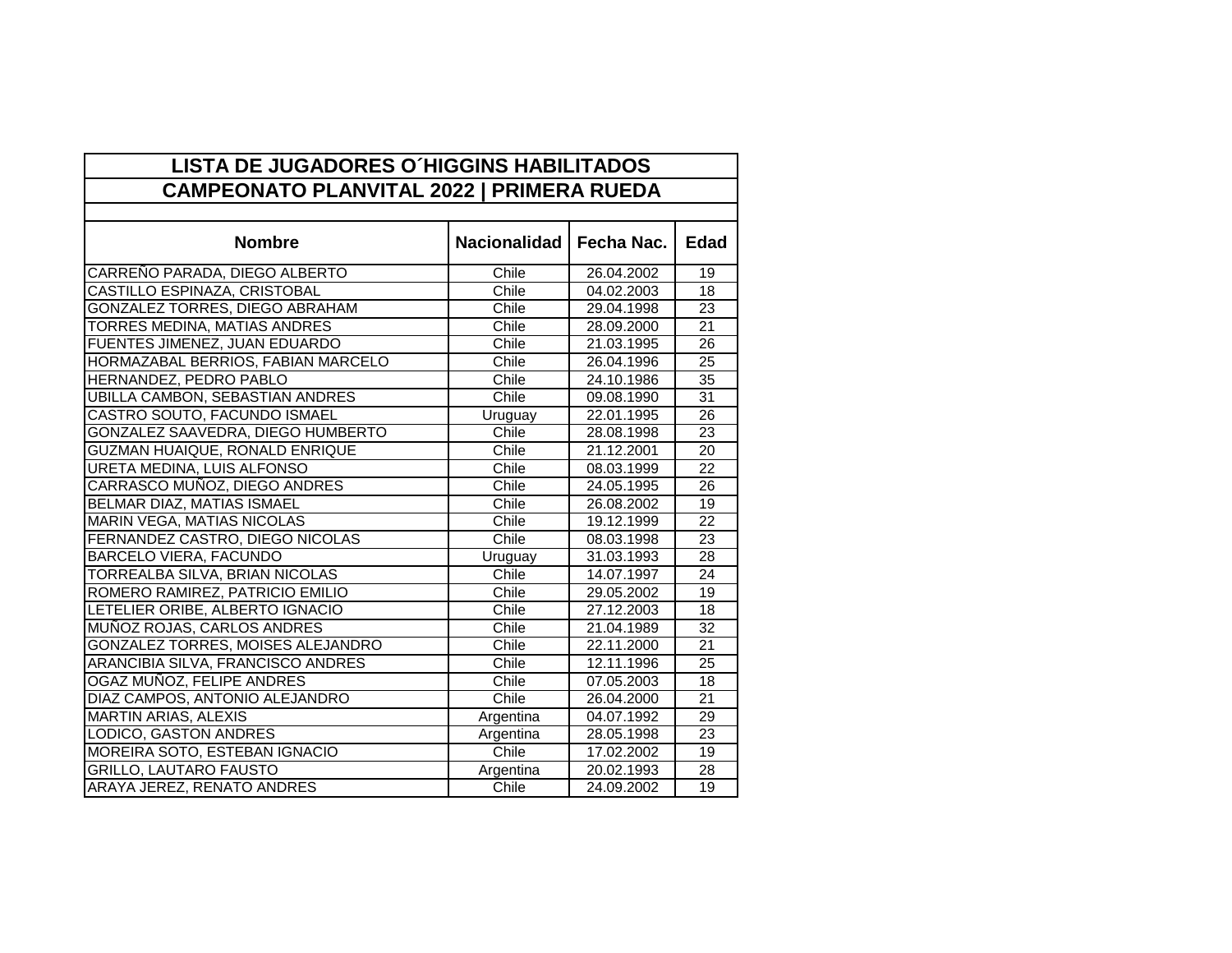| <b>LISTA DE JUGADORES O'HIGGINS HABILITADOS</b><br><b>CAMPEONATO PLANVITAL 2022   PRIMERA RUEDA</b> |                     |            |                 |  |
|-----------------------------------------------------------------------------------------------------|---------------------|------------|-----------------|--|
|                                                                                                     |                     |            |                 |  |
| <b>Nombre</b>                                                                                       | <b>Nacionalidad</b> | Fecha Nac. | <b>Edad</b>     |  |
| CARREÑO PARADA, DIEGO ALBERTO                                                                       | Chile               | 26.04.2002 | 19              |  |
| CASTILLO ESPINAZA, CRISTOBAL                                                                        | Chile               | 04.02.2003 | 18              |  |
| <b>GONZALEZ TORRES, DIEGO ABRAHAM</b>                                                               | Chile               | 29.04.1998 | $\overline{23}$ |  |
| TORRES MEDINA, MATIAS ANDRES                                                                        | Chile               | 28.09.2000 | $\overline{21}$ |  |
| FUENTES JIMENEZ, JUAN EDUARDO                                                                       | Chile               | 21.03.1995 | 26              |  |
| HORMAZABAL BERRIOS, FABIAN MARCELO                                                                  | Chile               | 26.04.1996 | 25              |  |
| HERNANDEZ, PEDRO PABLO                                                                              | Chile               | 24.10.1986 | 35              |  |
| <b>UBILLA CAMBON, SEBASTIAN ANDRES</b>                                                              | Chile               | 09.08.1990 | 31              |  |
| CASTRO SOUTO, FACUNDO ISMAEL                                                                        | Uruguay             | 22.01.1995 | 26              |  |
| GONZALEZ SAAVEDRA, DIEGO HUMBERTO                                                                   | Chile               | 28.08.1998 | 23              |  |
| GUZMAN HUAIQUE, RONALD ENRIQUE                                                                      | Chile               | 21.12.2001 | 20              |  |
| URETA MEDINA, LUIS ALFONSO                                                                          | Chile               | 08.03.1999 | 22              |  |
| CARRASCO MUÑOZ, DIEGO ANDRES                                                                        | Chile               | 24.05.1995 | 26              |  |
| BELMAR DIAZ, MATIAS ISMAEL                                                                          | Chile               | 26.08.2002 | 19              |  |
| <b>MARIN VEGA, MATIAS NICOLAS</b>                                                                   | Chile               | 19.12.1999 | 22              |  |
| FERNANDEZ CASTRO, DIEGO NICOLAS                                                                     | Chile               | 08.03.1998 | 23              |  |
| <b>BARCELO VIERA, FACUNDO</b>                                                                       | Uruguay             | 31.03.1993 | $\overline{28}$ |  |
| TORREALBA SILVA, BRIAN NICOLAS                                                                      | Chile               | 14.07.1997 | $\overline{24}$ |  |
| ROMERO RAMIREZ, PATRICIO EMILIO                                                                     | Chile               | 29.05.2002 | 19              |  |
| LETELIER ORIBE, ALBERTO IGNACIO                                                                     | Chile               | 27.12.2003 | 18              |  |
| MUÑOZ ROJAS, CARLOS ANDRES                                                                          | Chile               | 21.04.1989 | 32              |  |
| GONZALEZ TORRES, MOISES ALEJANDRO                                                                   | Chile               | 22.11.2000 | 21              |  |
| ARANCIBIA SILVA, FRANCISCO ANDRES                                                                   | Chile               | 12.11.1996 | 25              |  |
| OGAZ MUÑOZ, FELIPE ANDRES                                                                           | Chile               | 07.05.2003 | 18              |  |
| DIAZ CAMPOS, ANTONIO ALEJANDRO                                                                      | Chile               | 26.04.2000 | 21              |  |
| <b>MARTIN ARIAS, ALEXIS</b>                                                                         | Argentina           | 04.07.1992 | 29              |  |
| LODICO, GASTON ANDRES                                                                               | Argentina           | 28.05.1998 | 23              |  |
| MOREIRA SOTO, ESTEBAN IGNACIO                                                                       | Chile               | 17.02.2002 | 19              |  |
| <b>GRILLO, LAUTARO FAUSTO</b>                                                                       | Argentina           | 20.02.1993 | 28              |  |
| ARAYA JEREZ, RENATO ANDRES                                                                          | Chile               | 24.09.2002 | 19              |  |